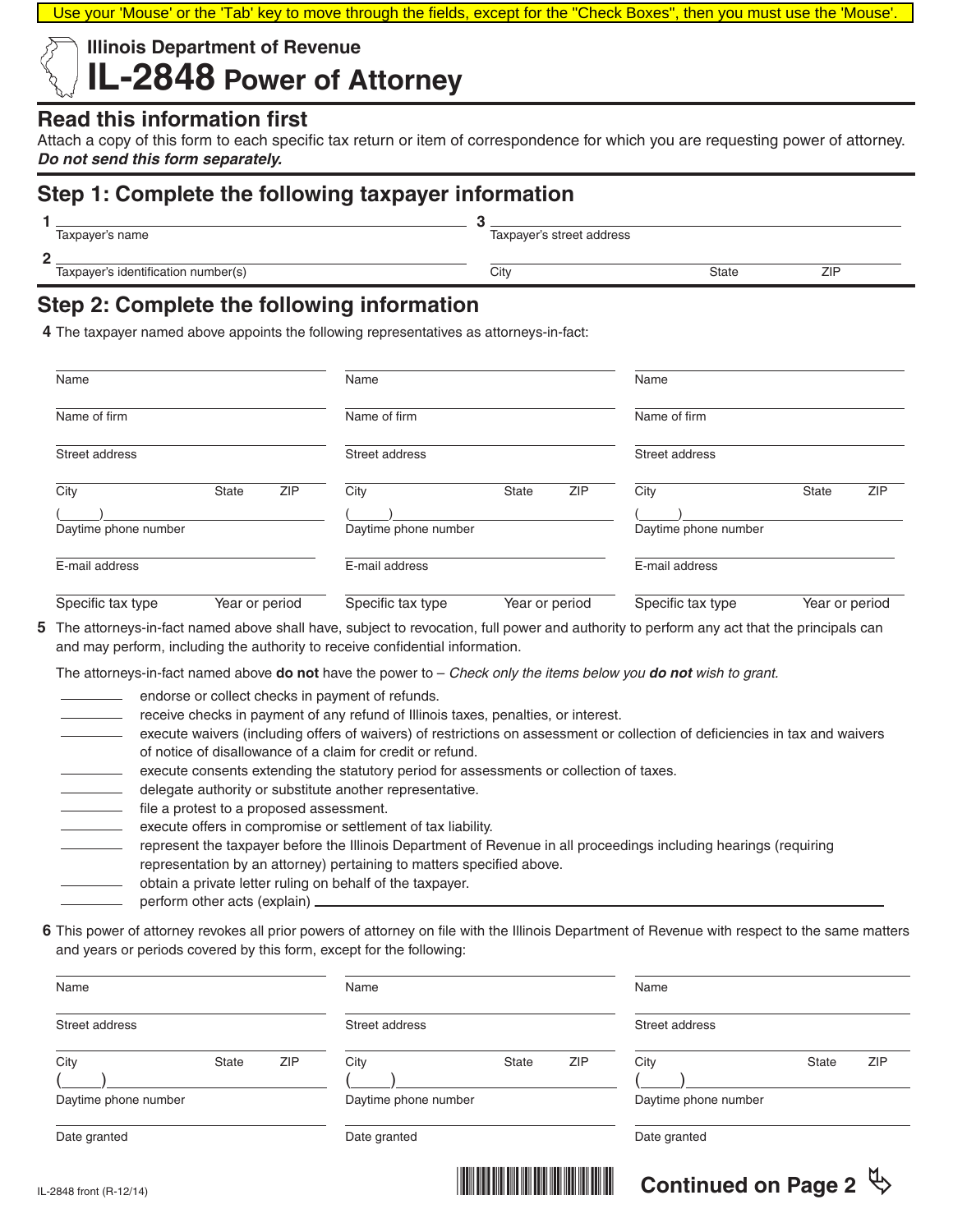Use your 'Mouse' or the 'Tab' key to move through the fields, except for the "Check Boxes", then you must use the 'Mouse'.

## **Illinois Department of Revenue IL-2848 Power of Attorney**

#### **Read this information first**

Attach a copy of this form to each specific tax return or item of correspondence for which you are requesting power of attorney. *Do not send this form separately.*

# **Step 1: Complete the following taxpayer information**

| ◢ |  |
|---|--|
|   |  |

**2**

Taxpayer's name Taxpayer's street address

Taxpayer's identification number(s) and the City City City City State State ZIP

# **Step 2: Complete the following information**

**4** The taxpayer named above appoints the following representatives as attorneys-in-fact:

| Name                         |                |            | Name                         |                |     | Name                         |                |            |
|------------------------------|----------------|------------|------------------------------|----------------|-----|------------------------------|----------------|------------|
| Name of firm                 |                |            | Name of firm                 |                |     | Name of firm                 |                |            |
| Street address               |                |            | Street address               |                |     | Street address               |                |            |
| City<br>Daytime phone number | <b>State</b>   | <b>ZIP</b> | City<br>Daytime phone number | <b>State</b>   | ZIP | City<br>Daytime phone number | <b>State</b>   | <b>ZIP</b> |
| E-mail address               |                |            | E-mail address               |                |     | E-mail address               |                |            |
| Specific tax type            | Year or period |            | Specific tax type            | Year or period |     | Specific tax type            | Year or period |            |

**5** The attorneys-in-fact named above shall have, subject to revocation, full power and authority to perform any act that the principals can and may perform, including the authority to receive confidential information.

The attorneys-in-fact named above **do not** have the power to – *Check only the items below you do not wish to grant.* 

- endorse or collect checks in payment of refunds.
- receive checks in payment of any refund of Illinois taxes, penalties, or interest.
- execute waivers (including offers of waivers) of restrictions on assessment or collection of deficiencies in tax and waivers of notice of disallowance of a claim for credit or refund.
- execute consents extending the statutory period for assessments or collection of taxes.
- delegate authority or substitute another representative.
- file a protest to a proposed assessment.
- execute offers in compromise or settlement of tax liability.
- represent the taxpayer before the Illinois Department of Revenue in all proceedings including hearings (requiring representation by an attorney) pertaining to matters specified above.
	- obtain a private letter ruling on behalf of the taxpayer.
	- perform other acts (explain)
- **6** This power of attorney revokes all prior powers of attorney on file with the Illinois Department of Revenue with respect to the same matters and years or periods covered by this form, except for the following:

| Name                         |       | Name       |                              |       | Name |                              |       |            |
|------------------------------|-------|------------|------------------------------|-------|------|------------------------------|-------|------------|
| Street address               |       |            | Street address               |       |      | Street address               |       |            |
| City<br>Daytime phone number | State | <b>ZIP</b> | City<br>Daytime phone number | State | ZIP  | City<br>Daytime phone number | State | <b>ZIP</b> |
| Date granted                 |       |            | Date granted                 |       |      | Date granted                 |       |            |